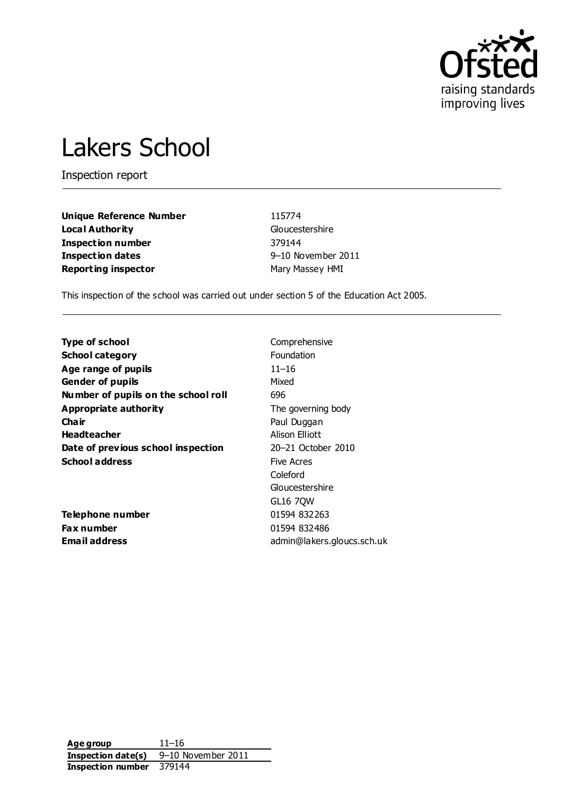

# Lakers School

Inspection report

**Unique Reference Number** 115774 **Local Authority** Gloucestershire **Inspection number** 379144 **Inspection dates** 9–10 November 2011 **Reporting inspector** Mary Mary Massey HMI

This inspection of the school was carried out under section 5 of the Education Act 2005.

**Type of school** Comprehensive **School category** Foundation **Age range of pupils** 11–16 **Gender of pupils** Mixed **Number of pupils on the school roll** 696 **Appropriate authority** The governing body **Chair** Paul Duggan **Headteacher** Alison Elliott **Date of previous school inspection** 20–21 October 2010 **School address** Five Acres

**Telephone number** 01594 832263 **Fax number** 01594 832486

Coleford Gloucestershire GL16 7QW **Email address** admin@lakers.gloucs.sch.uk

**Age group** 11–16 **Inspection date(s)** 9–10 November 2011 **Inspection number** 379144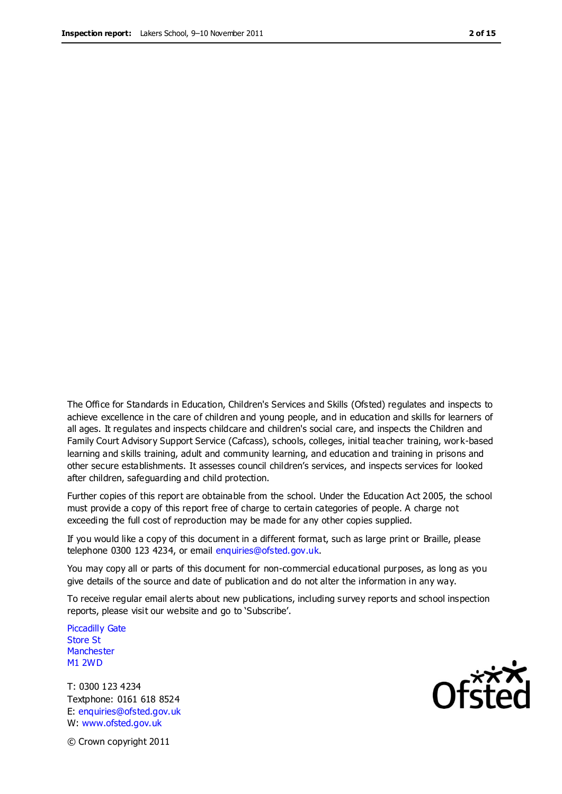The Office for Standards in Education, Children's Services and Skills (Ofsted) regulates and inspects to achieve excellence in the care of children and young people, and in education and skills for learners of all ages. It regulates and inspects childcare and children's social care, and inspects the Children and Family Court Advisory Support Service (Cafcass), schools, colleges, initial teacher training, work-based learning and skills training, adult and community learning, and education and training in prisons and other secure establishments. It assesses council children's services, and inspects services for looked after children, safeguarding and child protection.

Further copies of this report are obtainable from the school. Under the Education Act 2005, the school must provide a copy of this report free of charge to certain categories of people. A charge not exceeding the full cost of reproduction may be made for any other copies supplied.

If you would like a copy of this document in a different format, such as large print or Braille, please telephone 0300 123 4234, or email enquiries@ofsted.gov.uk.

You may copy all or parts of this document for non-commercial educational purposes, as long as you give details of the source and date of publication and do not alter the information in any way.

To receive regular email alerts about new publications, including survey reports and school inspection reports, please visit our website and go to 'Subscribe'.

Piccadilly Gate Store St **Manchester** M1 2WD

T: 0300 123 4234 Textphone: 0161 618 8524 E: enquiries@ofsted.gov.uk W: www.ofsted.gov.uk

**Ofsted** 

© Crown copyright 2011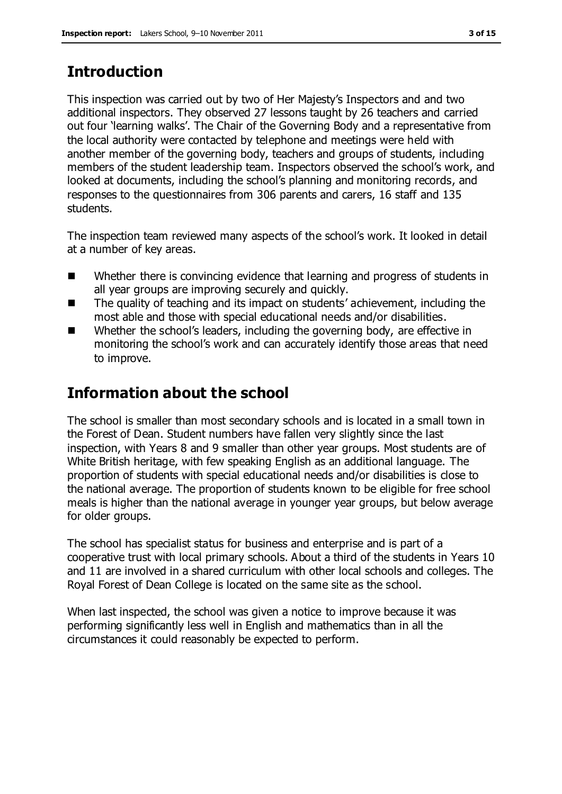# **Introduction**

This inspection was carried out by two of Her Majesty's Inspectors and and two additional inspectors. They observed 27 lessons taught by 26 teachers and carried out four 'learning walks'. The Chair of the Governing Body and a representative from the local authority were contacted by telephone and meetings were held with another member of the governing body, teachers and groups of students, including members of the student leadership team. Inspectors observed the school's work, and looked at documents, including the school's planning and monitoring records, and responses to the questionnaires from 306 parents and carers, 16 staff and 135 students.

The inspection team reviewed many aspects of the school's work. It looked in detail at a number of key areas.

- Whether there is convincing evidence that learning and progress of students in all year groups are improving securely and quickly.
- The quality of teaching and its impact on students' achievement, including the most able and those with special educational needs and/or disabilities.
- Whether the school's leaders, including the governing body, are effective in monitoring the school's work and can accurately identify those areas that need to improve.

# **Information about the school**

The school is smaller than most secondary schools and is located in a small town in the Forest of Dean. Student numbers have fallen very slightly since the last inspection, with Years 8 and 9 smaller than other year groups. Most students are of White British heritage, with few speaking English as an additional language. The proportion of students with special educational needs and/or disabilities is close to the national average. The proportion of students known to be eligible for free school meals is higher than the national average in younger year groups, but below average for older groups.

The school has specialist status for business and enterprise and is part of a cooperative trust with local primary schools. About a third of the students in Years 10 and 11 are involved in a shared curriculum with other local schools and colleges. The Royal Forest of Dean College is located on the same site as the school.

When last inspected, the school was given a notice to improve because it was performing significantly less well in English and mathematics than in all the circumstances it could reasonably be expected to perform.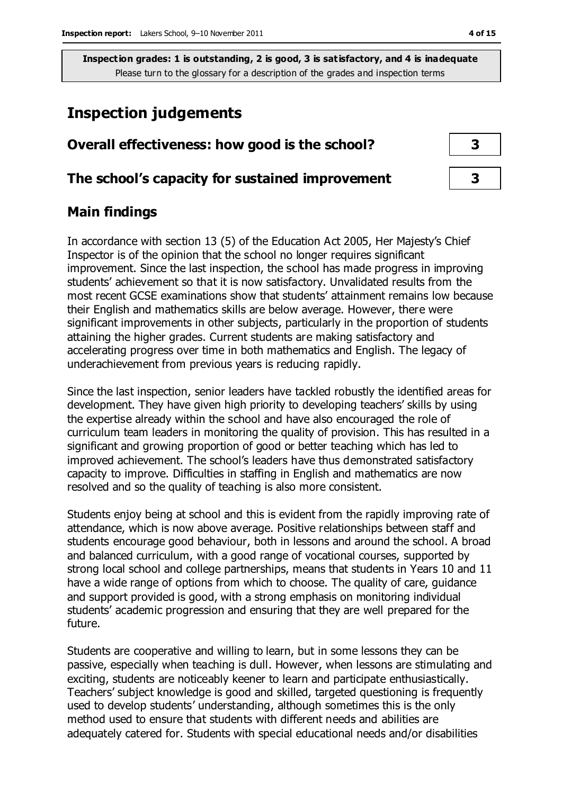# **Inspection judgements**

| Overall effectiveness: how good is the school?  |  |
|-------------------------------------------------|--|
| The school's capacity for sustained improvement |  |

# **Main findings**

In accordance with section 13 (5) of the Education Act 2005, Her Majesty's Chief Inspector is of the opinion that the school no longer requires significant improvement. Since the last inspection, the school has made progress in improving students' achievement so that it is now satisfactory. Unvalidated results from the most recent GCSE examinations show that students' attainment remains low because their English and mathematics skills are below average. However, there were significant improvements in other subjects, particularly in the proportion of students attaining the higher grades. Current students are making satisfactory and accelerating progress over time in both mathematics and English. The legacy of underachievement from previous years is reducing rapidly.

Since the last inspection, senior leaders have tackled robustly the identified areas for development. They have given high priority to developing teachers' skills by using the expertise already within the school and have also encouraged the role of curriculum team leaders in monitoring the quality of provision. This has resulted in a significant and growing proportion of good or better teaching which has led to improved achievement. The school's leaders have thus demonstrated satisfactory capacity to improve. Difficulties in staffing in English and mathematics are now resolved and so the quality of teaching is also more consistent.

Students enjoy being at school and this is evident from the rapidly improving rate of attendance, which is now above average. Positive relationships between staff and students encourage good behaviour, both in lessons and around the school. A broad and balanced curriculum, with a good range of vocational courses, supported by strong local school and college partnerships, means that students in Years 10 and 11 have a wide range of options from which to choose. The quality of care, guidance and support provided is good, with a strong emphasis on monitoring individual students' academic progression and ensuring that they are well prepared for the future.

Students are cooperative and willing to learn, but in some lessons they can be passive, especially when teaching is dull. However, when lessons are stimulating and exciting, students are noticeably keener to learn and participate enthusiastically. Teachers' subject knowledge is good and skilled, targeted questioning is frequently used to develop students' understanding, although sometimes this is the only method used to ensure that students with different needs and abilities are adequately catered for. Students with special educational needs and/or disabilities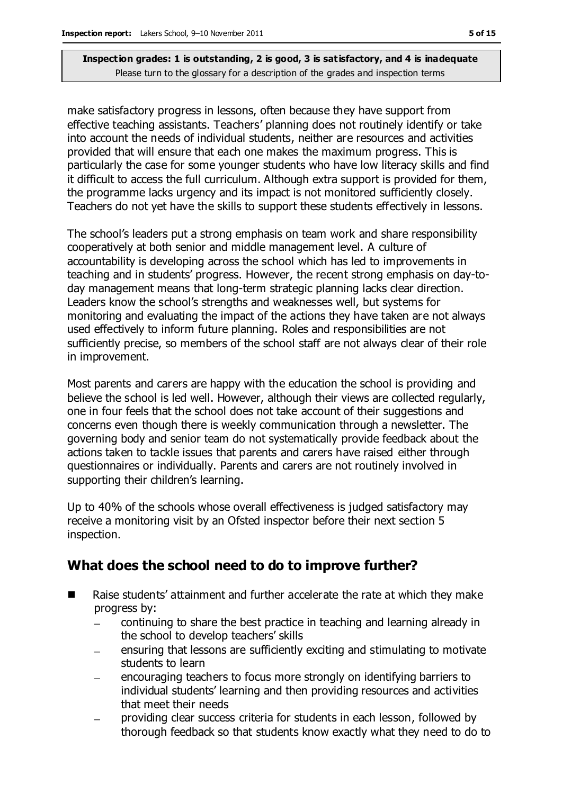make satisfactory progress in lessons, often because they have support from effective teaching assistants. Teachers' planning does not routinely identify or take into account the needs of individual students, neither are resources and activities provided that will ensure that each one makes the maximum progress. This is particularly the case for some younger students who have low literacy skills and find it difficult to access the full curriculum. Although extra support is provided for them, the programme lacks urgency and its impact is not monitored sufficiently closely. Teachers do not yet have the skills to support these students effectively in lessons.

The school's leaders put a strong emphasis on team work and share responsibility cooperatively at both senior and middle management level. A culture of accountability is developing across the school which has led to improvements in teaching and in students' progress. However, the recent strong emphasis on day-today management means that long-term strategic planning lacks clear direction. Leaders know the school's strengths and weaknesses well, but systems for monitoring and evaluating the impact of the actions they have taken are not always used effectively to inform future planning. Roles and responsibilities are not sufficiently precise, so members of the school staff are not always clear of their role in improvement.

Most parents and carers are happy with the education the school is providing and believe the school is led well. However, although their views are collected regularly, one in four feels that the school does not take account of their suggestions and concerns even though there is weekly communication through a newsletter. The governing body and senior team do not systematically provide feedback about the actions taken to tackle issues that parents and carers have raised either through questionnaires or individually. Parents and carers are not routinely involved in supporting their children's learning.

Up to 40% of the schools whose overall effectiveness is judged satisfactory may receive a monitoring visit by an Ofsted inspector before their next section 5 inspection.

# **What does the school need to do to improve further?**

- Raise students' attainment and further accelerate the rate at which they make progress by:
	- continuing to share the best practice in teaching and learning already in the school to develop teachers' skills
	- ensuring that lessons are sufficiently exciting and stimulating to motivate students to learn
	- encouraging teachers to focus more strongly on identifying barriers to individual students' learning and then providing resources and activities that meet their needs
	- providing clear success criteria for students in each lesson, followed by thorough feedback so that students know exactly what they need to do to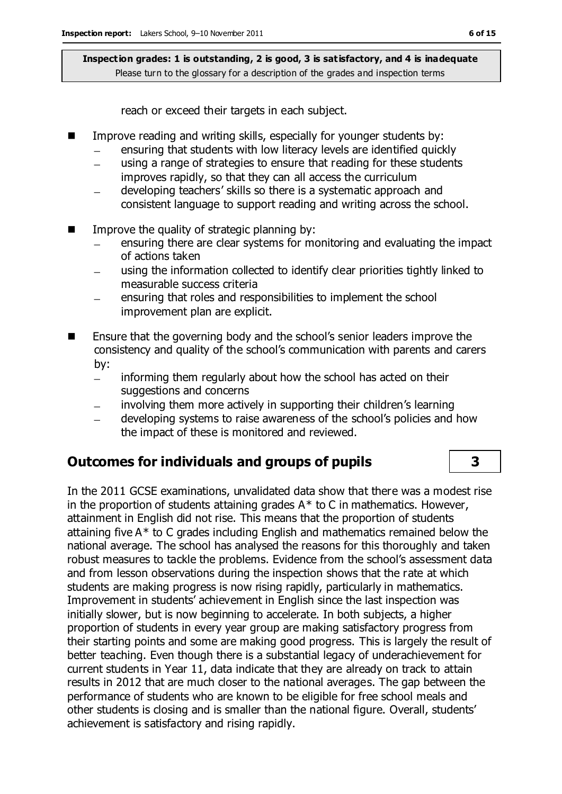reach or exceed their targets in each subject.

- Improve reading and writing skills, especially for younger students by:
	- ensuring that students with low literacy levels are identified quickly  $\equiv$
	- using a range of strategies to ensure that reading for these students improves rapidly, so that they can all access the curriculum
	- developing teachers' skills so there is a systematic approach and  $\overline{\phantom{0}}$ consistent language to support reading and writing across the school.
- $\blacksquare$  Improve the quality of strategic planning by:
	- ensuring there are clear systems for monitoring and evaluating the impact of actions taken
	- using the information collected to identify clear priorities tightly linked to  $\equiv$ measurable success criteria
	- ensuring that roles and responsibilities to implement the school improvement plan are explicit.
- Ensure that the governing body and the school's senior leaders improve the consistency and quality of the school's communication with parents and carers by:
	- informing them regularly about how the school has acted on their  $\equiv$ suggestions and concerns
	- involving them more actively in supporting their children's learning  $\equiv$
	- developing systems to raise awareness of the school's policies and how  $\overline{\phantom{a}}$ the impact of these is monitored and reviewed.

# **Outcomes for individuals and groups of pupils 3**

In the 2011 GCSE examinations, unvalidated data show that there was a modest rise in the proportion of students attaining grades  $A^*$  to C in mathematics. However, attainment in English did not rise. This means that the proportion of students attaining five A\* to C grades including English and mathematics remained below the national average. The school has analysed the reasons for this thoroughly and taken robust measures to tackle the problems. Evidence from the school's assessment data and from lesson observations during the inspection shows that the rate at which students are making progress is now rising rapidly, particularly in mathematics. Improvement in students' achievement in English since the last inspection was initially slower, but is now beginning to accelerate. In both subjects, a higher proportion of students in every year group are making satisfactory progress from their starting points and some are making good progress. This is largely the result of better teaching. Even though there is a substantial legacy of underachievement for current students in Year 11, data indicate that they are already on track to attain results in 2012 that are much closer to the national averages. The gap between the performance of students who are known to be eligible for free school meals and other students is closing and is smaller than the national figure. Overall, students' achievement is satisfactory and rising rapidly.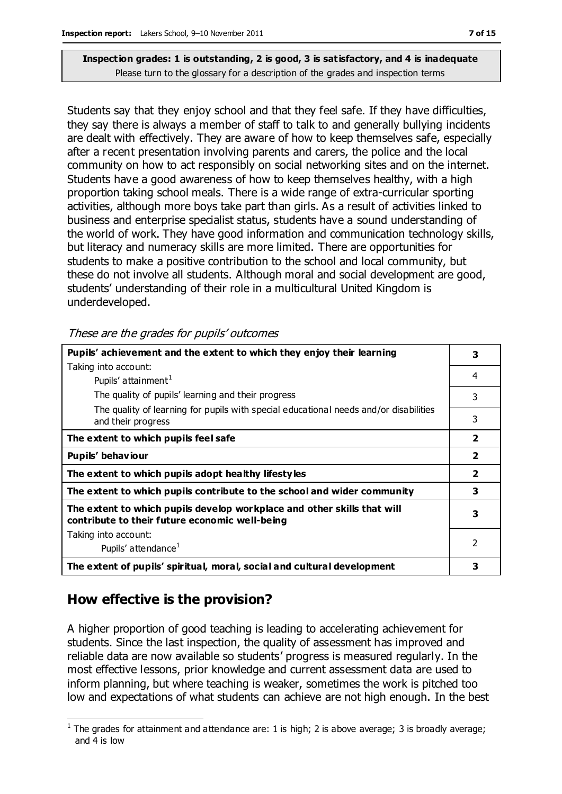Students say that they enjoy school and that they feel safe. If they have difficulties, they say there is always a member of staff to talk to and generally bullying incidents are dealt with effectively. They are aware of how to keep themselves safe, especially after a recent presentation involving parents and carers, the police and the local community on how to act responsibly on social networking sites and on the internet. Students have a good awareness of how to keep themselves healthy, with a high proportion taking school meals. There is a wide range of extra-curricular sporting activities, although more boys take part than girls. As a result of activities linked to business and enterprise specialist status, students have a sound understanding of the world of work. They have good information and communication technology skills, but literacy and numeracy skills are more limited. There are opportunities for students to make a positive contribution to the school and local community, but these do not involve all students. Although moral and social development are good, students' understanding of their role in a multicultural United Kingdom is underdeveloped.

These are the grades for pupils' outcomes

| Pupils' achievement and the extent to which they enjoy their learning                                                     |                |  |
|---------------------------------------------------------------------------------------------------------------------------|----------------|--|
| Taking into account:                                                                                                      |                |  |
| Pupils' attainment <sup>1</sup>                                                                                           | 4              |  |
| The quality of pupils' learning and their progress                                                                        | 3              |  |
| The quality of learning for pupils with special educational needs and/or disabilities<br>and their progress               | 3              |  |
| The extent to which pupils feel safe                                                                                      | $\overline{2}$ |  |
| Pupils' behaviour                                                                                                         |                |  |
| The extent to which pupils adopt healthy lifestyles                                                                       |                |  |
| The extent to which pupils contribute to the school and wider community                                                   |                |  |
| The extent to which pupils develop workplace and other skills that will<br>contribute to their future economic well-being |                |  |
| Taking into account:                                                                                                      |                |  |
| Pupils' attendance <sup>1</sup>                                                                                           | 2              |  |
| The extent of pupils' spiritual, moral, social and cultural development                                                   | 3              |  |

# **How effective is the provision?**

A higher proportion of good teaching is leading to accelerating achievement for students. Since the last inspection, the quality of assessment has improved and reliable data are now available so students' progress is measured regularly. In the most effective lessons, prior knowledge and current assessment data are used to inform planning, but where teaching is weaker, sometimes the work is pitched too low and expectations of what students can achieve are not high enough. In the best

 $\overline{a}$ <sup>1</sup> The grades for attainment and attendance are: 1 is high; 2 is above average; 3 is broadly average; and 4 is low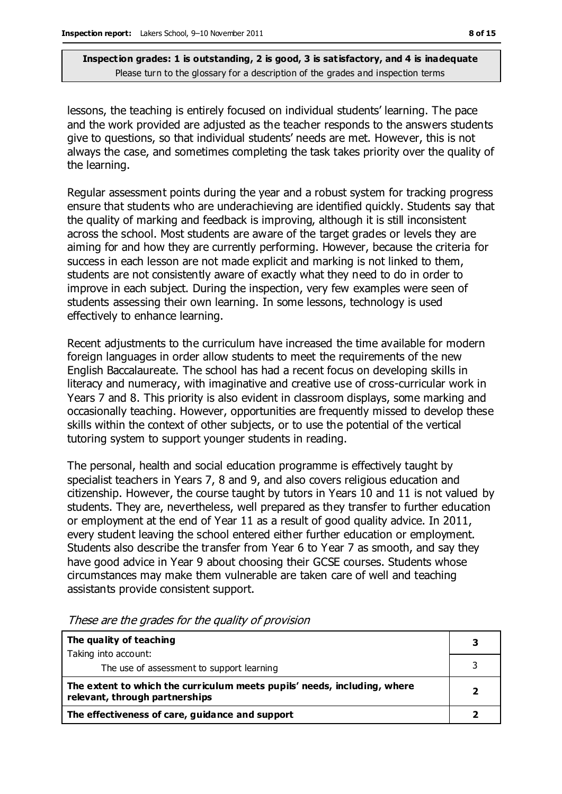lessons, the teaching is entirely focused on individual students' learning. The pace and the work provided are adjusted as the teacher responds to the answers students give to questions, so that individual students' needs are met. However, this is not always the case, and sometimes completing the task takes priority over the quality of the learning.

Regular assessment points during the year and a robust system for tracking progress ensure that students who are underachieving are identified quickly. Students say that the quality of marking and feedback is improving, although it is still inconsistent across the school. Most students are aware of the target grades or levels they are aiming for and how they are currently performing. However, because the criteria for success in each lesson are not made explicit and marking is not linked to them, students are not consistently aware of exactly what they need to do in order to improve in each subject. During the inspection, very few examples were seen of students assessing their own learning. In some lessons, technology is used effectively to enhance learning.

Recent adjustments to the curriculum have increased the time available for modern foreign languages in order allow students to meet the requirements of the new English Baccalaureate. The school has had a recent focus on developing skills in literacy and numeracy, with imaginative and creative use of cross-curricular work in Years 7 and 8. This priority is also evident in classroom displays, some marking and occasionally teaching. However, opportunities are frequently missed to develop these skills within the context of other subjects, or to use the potential of the vertical tutoring system to support younger students in reading.

The personal, health and social education programme is effectively taught by specialist teachers in Years 7, 8 and 9, and also covers religious education and citizenship. However, the course taught by tutors in Years 10 and 11 is not valued by students. They are, nevertheless, well prepared as they transfer to further education or employment at the end of Year 11 as a result of good quality advice. In 2011, every student leaving the school entered either further education or employment. Students also describe the transfer from Year 6 to Year 7 as smooth, and say they have good advice in Year 9 about choosing their GCSE courses. Students whose circumstances may make them vulnerable are taken care of well and teaching assistants provide consistent support.

| The quality of teaching                                                                                    |  |
|------------------------------------------------------------------------------------------------------------|--|
| Taking into account:                                                                                       |  |
| The use of assessment to support learning                                                                  |  |
| The extent to which the curriculum meets pupils' needs, including, where<br>relevant, through partnerships |  |
| The effectiveness of care, guidance and support                                                            |  |

These are the grades for the quality of provision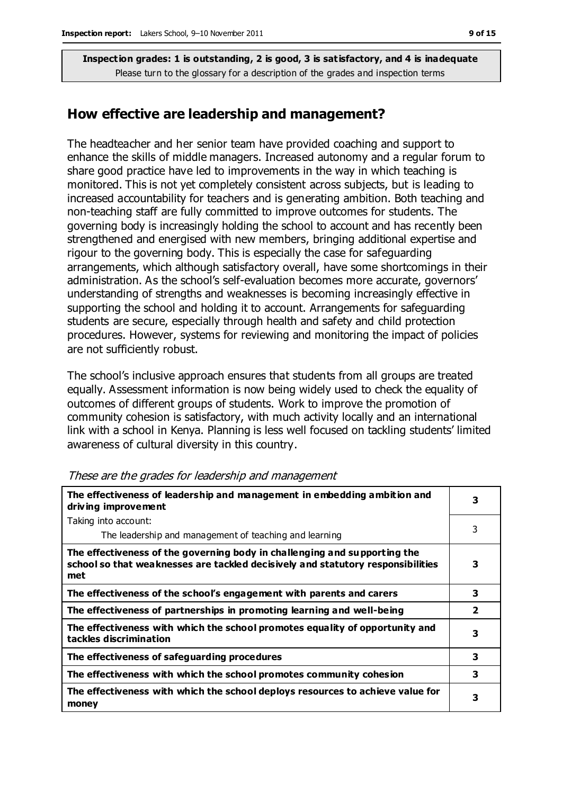## **How effective are leadership and management?**

The headteacher and her senior team have provided coaching and support to enhance the skills of middle managers. Increased autonomy and a regular forum to share good practice have led to improvements in the way in which teaching is monitored. This is not yet completely consistent across subjects, but is leading to increased accountability for teachers and is generating ambition. Both teaching and non-teaching staff are fully committed to improve outcomes for students. The governing body is increasingly holding the school to account and has recently been strengthened and energised with new members, bringing additional expertise and rigour to the governing body. This is especially the case for safeguarding arrangements, which although satisfactory overall, have some shortcomings in their administration. As the school's self-evaluation becomes more accurate, governors' understanding of strengths and weaknesses is becoming increasingly effective in supporting the school and holding it to account. Arrangements for safeguarding students are secure, especially through health and safety and child protection procedures. However, systems for reviewing and monitoring the impact of policies are not sufficiently robust.

The school's inclusive approach ensures that students from all groups are treated equally. Assessment information is now being widely used to check the equality of outcomes of different groups of students. Work to improve the promotion of community cohesion is satisfactory, with much activity locally and an international link with a school in Kenya. Planning is less well focused on tackling students' limited awareness of cultural diversity in this country.

| The effectiveness of leadership and management in embedding ambition and<br>driving improvement                                                                     | 3              |
|---------------------------------------------------------------------------------------------------------------------------------------------------------------------|----------------|
| Taking into account:                                                                                                                                                |                |
| The leadership and management of teaching and learning                                                                                                              | 3              |
| The effectiveness of the governing body in challenging and supporting the<br>school so that weaknesses are tackled decisively and statutory responsibilities<br>met | 3              |
| The effectiveness of the school's engagement with parents and carers                                                                                                | 3              |
| The effectiveness of partnerships in promoting learning and well-being                                                                                              | $\overline{2}$ |
| The effectiveness with which the school promotes equality of opportunity and<br>tackles discrimination                                                              | 3              |
| The effectiveness of safeguarding procedures                                                                                                                        | 3              |
| The effectiveness with which the school promotes community cohesion                                                                                                 | 3              |
| The effectiveness with which the school deploys resources to achieve value for<br>money                                                                             | 3              |

#### These are the grades for leadership and management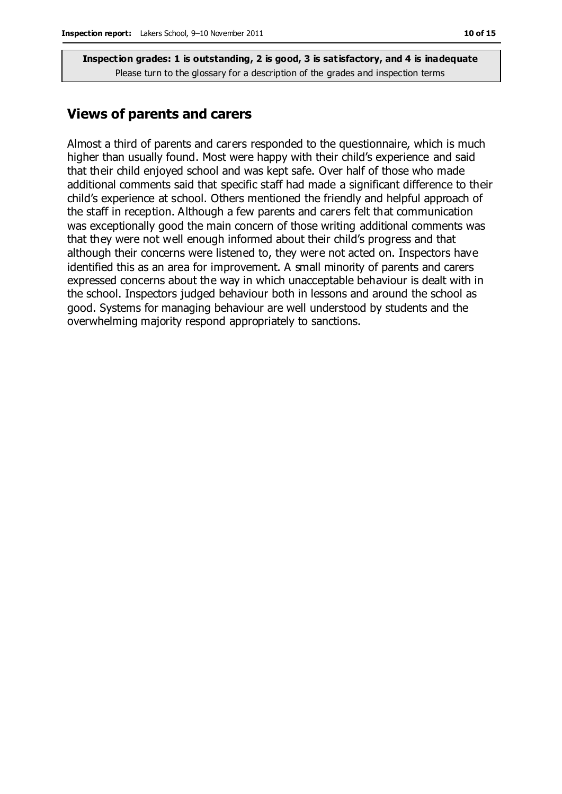### **Views of parents and carers**

Almost a third of parents and carers responded to the questionnaire, which is much higher than usually found. Most were happy with their child's experience and said that their child enjoyed school and was kept safe. Over half of those who made additional comments said that specific staff had made a significant difference to their child's experience at school. Others mentioned the friendly and helpful approach of the staff in reception. Although a few parents and carers felt that communication was exceptionally good the main concern of those writing additional comments was that they were not well enough informed about their child's progress and that although their concerns were listened to, they were not acted on. Inspectors have identified this as an area for improvement. A small minority of parents and carers expressed concerns about the way in which unacceptable behaviour is dealt with in the school. Inspectors judged behaviour both in lessons and around the school as good. Systems for managing behaviour are well understood by students and the overwhelming majority respond appropriately to sanctions.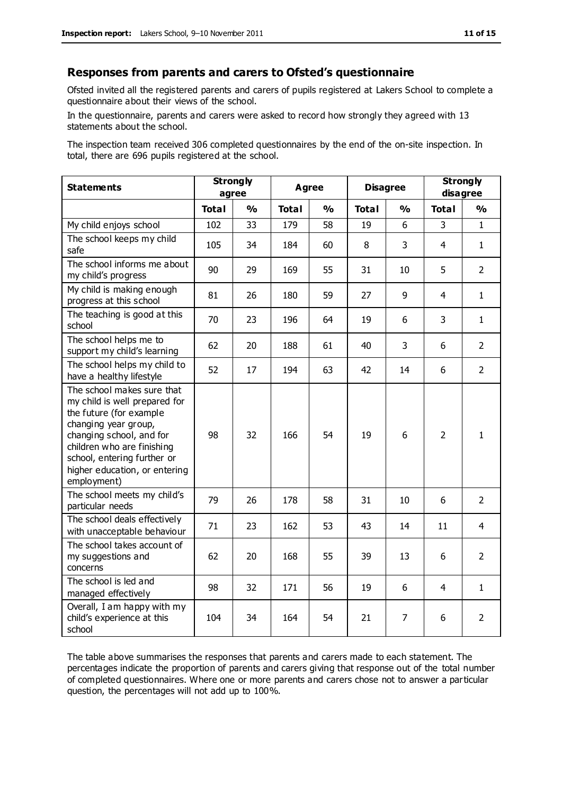#### **Responses from parents and carers to Ofsted's questionnaire**

Ofsted invited all the registered parents and carers of pupils registered at Lakers School to complete a questionnaire about their views of the school.

In the questionnaire, parents and carers were asked to record how strongly they agreed with 13 statements about the school.

The inspection team received 306 completed questionnaires by the end of the on-site inspection. In total, there are 696 pupils registered at the school.

| <b>Statements</b>                                                                                                                                                                                                                                       | <b>Strongly</b><br>agree |               | <b>Agree</b> |               | <b>Disagree</b> |               | <b>Strongly</b><br>disagree |                |
|---------------------------------------------------------------------------------------------------------------------------------------------------------------------------------------------------------------------------------------------------------|--------------------------|---------------|--------------|---------------|-----------------|---------------|-----------------------------|----------------|
|                                                                                                                                                                                                                                                         | <b>Total</b>             | $\frac{1}{2}$ | <b>Total</b> | $\frac{1}{2}$ | <b>Total</b>    | $\frac{0}{0}$ | <b>Total</b>                | $\frac{0}{0}$  |
| My child enjoys school                                                                                                                                                                                                                                  | 102                      | 33            | 179          | 58            | 19              | 6             | 3                           | $\mathbf{1}$   |
| The school keeps my child<br>safe                                                                                                                                                                                                                       | 105                      | 34            | 184          | 60            | 8               | 3             | $\overline{4}$              | $\mathbf{1}$   |
| The school informs me about<br>my child's progress                                                                                                                                                                                                      | 90                       | 29            | 169          | 55            | 31              | 10            | 5                           | $\overline{2}$ |
| My child is making enough<br>progress at this school                                                                                                                                                                                                    | 81                       | 26            | 180          | 59            | 27              | 9             | $\overline{4}$              | $\mathbf{1}$   |
| The teaching is good at this<br>school                                                                                                                                                                                                                  | 70                       | 23            | 196          | 64            | 19              | 6             | 3                           | $\mathbf{1}$   |
| The school helps me to<br>support my child's learning                                                                                                                                                                                                   | 62                       | 20            | 188          | 61            | 40              | 3             | 6                           | $\overline{2}$ |
| The school helps my child to<br>have a healthy lifestyle                                                                                                                                                                                                | 52                       | 17            | 194          | 63            | 42              | 14            | 6                           | $\overline{2}$ |
| The school makes sure that<br>my child is well prepared for<br>the future (for example<br>changing year group,<br>changing school, and for<br>children who are finishing<br>school, entering further or<br>higher education, or entering<br>employment) | 98                       | 32            | 166          | 54            | 19              | 6             | $\overline{2}$              | $\mathbf{1}$   |
| The school meets my child's<br>particular needs                                                                                                                                                                                                         | 79                       | 26            | 178          | 58            | 31              | 10            | 6                           | $\overline{2}$ |
| The school deals effectively<br>with unacceptable behaviour                                                                                                                                                                                             | 71                       | 23            | 162          | 53            | 43              | 14            | 11                          | 4              |
| The school takes account of<br>my suggestions and<br>concerns                                                                                                                                                                                           | 62                       | 20            | 168          | 55            | 39              | 13            | 6                           | $\overline{2}$ |
| The school is led and<br>managed effectively                                                                                                                                                                                                            | 98                       | 32            | 171          | 56            | 19              | 6             | 4                           | $\mathbf{1}$   |
| Overall, I am happy with my<br>child's experience at this<br>school                                                                                                                                                                                     | 104                      | 34            | 164          | 54            | 21              | 7             | 6                           | $\overline{2}$ |

The table above summarises the responses that parents and carers made to each statement. The percentages indicate the proportion of parents and carers giving that response out of the total number of completed questionnaires. Where one or more parents and carers chose not to answer a particular question, the percentages will not add up to 100%.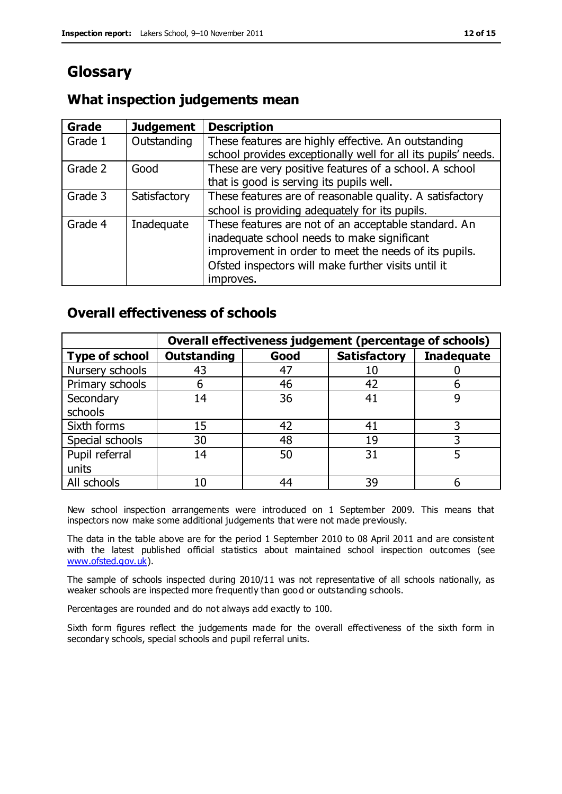# **Glossary**

## **What inspection judgements mean**

| <b>Grade</b> | <b>Judgement</b> | <b>Description</b>                                            |
|--------------|------------------|---------------------------------------------------------------|
| Grade 1      | Outstanding      | These features are highly effective. An outstanding           |
|              |                  | school provides exceptionally well for all its pupils' needs. |
| Grade 2      | Good             | These are very positive features of a school. A school        |
|              |                  | that is good is serving its pupils well.                      |
| Grade 3      | Satisfactory     | These features are of reasonable quality. A satisfactory      |
|              |                  | school is providing adequately for its pupils.                |
| Grade 4      | Inadequate       | These features are not of an acceptable standard. An          |
|              |                  | inadequate school needs to make significant                   |
|              |                  | improvement in order to meet the needs of its pupils.         |
|              |                  | Ofsted inspectors will make further visits until it           |
|              |                  | improves.                                                     |

## **Overall effectiveness of schools**

|                       | Overall effectiveness judgement (percentage of schools) |      |                     |                   |
|-----------------------|---------------------------------------------------------|------|---------------------|-------------------|
| <b>Type of school</b> | <b>Outstanding</b>                                      | Good | <b>Satisfactory</b> | <b>Inadequate</b> |
| Nursery schools       | 43                                                      | 47   | 10                  |                   |
| Primary schools       | 6                                                       | 46   | 42                  |                   |
| Secondary             | 14                                                      | 36   | 41                  |                   |
| schools               |                                                         |      |                     |                   |
| Sixth forms           | 15                                                      | 42   | 41                  | 3                 |
| Special schools       | 30                                                      | 48   | 19                  |                   |
| Pupil referral        | 14                                                      | 50   | 31                  |                   |
| units                 |                                                         |      |                     |                   |
| All schools           | 10                                                      | 44   | 39                  |                   |

New school inspection arrangements were introduced on 1 September 2009. This means that inspectors now make some additional judgements that were not made previously.

The data in the table above are for the period 1 September 2010 to 08 April 2011 and are consistent with the latest published official statistics about maintained school inspection outcomes (see [www.ofsted.gov.uk\)](http://www.ofsted.gov.uk/).

The sample of schools inspected during 2010/11 was not representative of all schools nationally, as weaker schools are inspected more frequently than good or outstanding schools.

Percentages are rounded and do not always add exactly to 100.

Sixth form figures reflect the judgements made for the overall effectiveness of the sixth form in secondary schools, special schools and pupil referral units.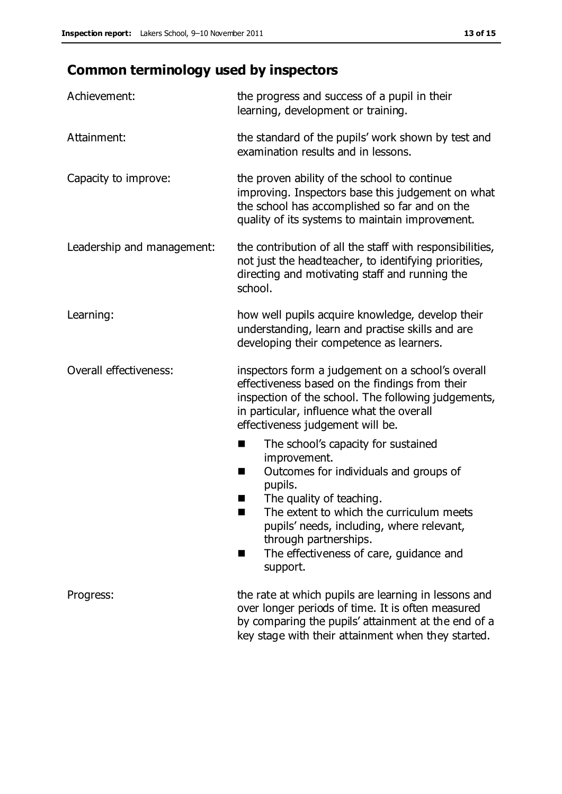# **Common terminology used by inspectors**

| Achievement:               | the progress and success of a pupil in their<br>learning, development or training.                                                                                                                                                                                                                                                  |
|----------------------------|-------------------------------------------------------------------------------------------------------------------------------------------------------------------------------------------------------------------------------------------------------------------------------------------------------------------------------------|
| Attainment:                | the standard of the pupils' work shown by test and<br>examination results and in lessons.                                                                                                                                                                                                                                           |
| Capacity to improve:       | the proven ability of the school to continue<br>improving. Inspectors base this judgement on what<br>the school has accomplished so far and on the<br>quality of its systems to maintain improvement.                                                                                                                               |
| Leadership and management: | the contribution of all the staff with responsibilities,<br>not just the headteacher, to identifying priorities,<br>directing and motivating staff and running the<br>school.                                                                                                                                                       |
| Learning:                  | how well pupils acquire knowledge, develop their<br>understanding, learn and practise skills and are<br>developing their competence as learners.                                                                                                                                                                                    |
| Overall effectiveness:     | inspectors form a judgement on a school's overall<br>effectiveness based on the findings from their<br>inspection of the school. The following judgements,<br>in particular, influence what the overall<br>effectiveness judgement will be.                                                                                         |
|                            | The school's capacity for sustained<br>a l<br>improvement.<br>Outcomes for individuals and groups of<br>ш<br>pupils.<br>The quality of teaching.<br>ш<br>The extent to which the curriculum meets<br>pupils' needs, including, where relevant,<br>through partnerships.<br>The effectiveness of care, guidance and<br>п<br>support. |
| Progress:                  | the rate at which pupils are learning in lessons and<br>over longer periods of time. It is often measured<br>by comparing the pupils' attainment at the end of a<br>key stage with their attainment when they started.                                                                                                              |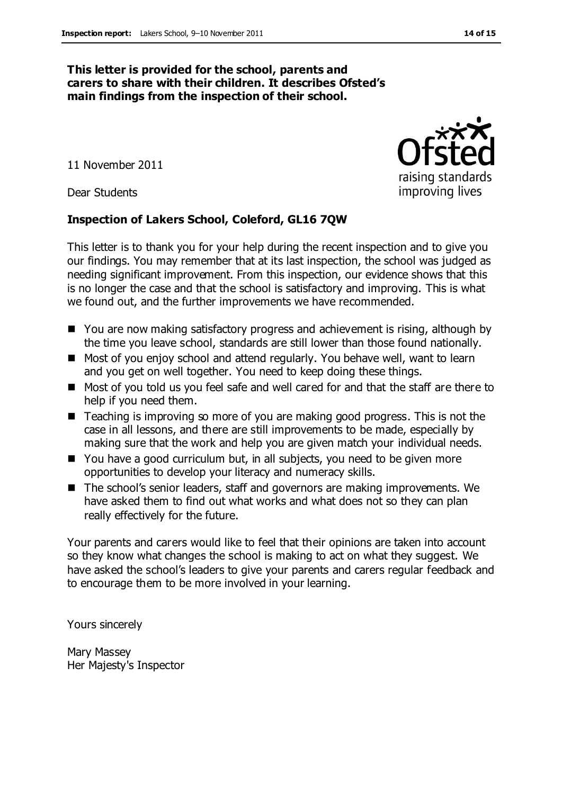#### **This letter is provided for the school, parents and carers to share with their children. It describes Ofsted's main findings from the inspection of their school.**

11 November 2011

Dear Students

#### **Inspection of Lakers School, Coleford, GL16 7QW**

This letter is to thank you for your help during the recent inspection and to give you our findings. You may remember that at its last inspection, the school was judged as needing significant improvement. From this inspection, our evidence shows that this is no longer the case and that the school is satisfactory and improving. This is what we found out, and the further improvements we have recommended.

- You are now making satisfactory progress and achievement is rising, although by the time you leave school, standards are still lower than those found nationally.
- Most of you enjoy school and attend regularly. You behave well, want to learn and you get on well together. You need to keep doing these things.
- Most of you told us you feel safe and well cared for and that the staff are there to help if you need them.
- Teaching is improving so more of you are making good progress. This is not the case in all lessons, and there are still improvements to be made, especially by making sure that the work and help you are given match your individual needs.
- You have a good curriculum but, in all subjects, you need to be given more opportunities to develop your literacy and numeracy skills.
- The school's senior leaders, staff and governors are making improvements. We have asked them to find out what works and what does not so they can plan really effectively for the future.

Your parents and carers would like to feel that their opinions are taken into account so they know what changes the school is making to act on what they suggest. We have asked the school's leaders to give your parents and carers regular feedback and to encourage them to be more involved in your learning.

Yours sincerely

Mary Massey Her Majesty's Inspector